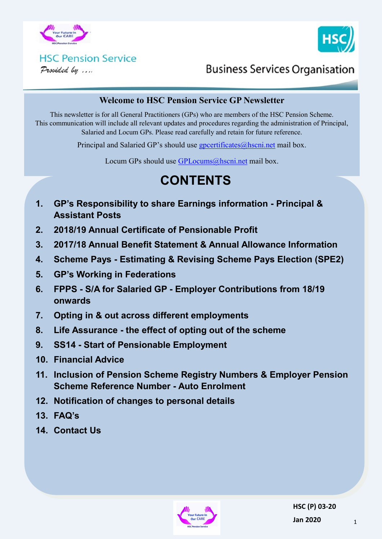



# **HSC Pension Service**

Provided by ....

### **Business Services Organisation**

#### **Welcome to HSC Pension Service GP Newsletter**

This newsletter is for all General Practitioners (GPs) who are members of the HSC Pension Scheme. This communication will include all relevant updates and procedures regarding the administration of Principal, Salaried and Locum GPs. Please read carefully and retain for future reference.

Principal and Salaried GP's should use [gpcertificates@hscni.net](mailto:gpcertificates@hscni.net) mail box.

Locum GPs should use [GPLocums@hscni.net](mailto:GPLocums@hscni.net) mail box.

## **CONTENTS**

- **1. GP's Responsibility to share Earnings information - Principal & Assistant Posts**
- **2. 2018/19 Annual Certificate of Pensionable Profit**
- **3. 2017/18 Annual Benefit Statement & Annual Allowance Information**
- **4. Scheme Pays - Estimating & Revising Scheme Pays Election (SPE2)**
- **5. GP's Working in Federations**
- **6. FPPS - S/A for Salaried GP - Employer Contributions from 18/19 onwards**
- **7. Opting in & out across different employments**
- **8. Life Assurance - the effect of opting out of the scheme**
- **9. SS14 - Start of Pensionable Employment**
- **10. Financial Advice**
- **11. Inclusion of Pension Scheme Registry Numbers & Employer Pension Scheme Reference Number - Auto Enrolment**
- **12. Notification of changes to personal details**
- **13. FAQ's**
- **14. Contact Us**

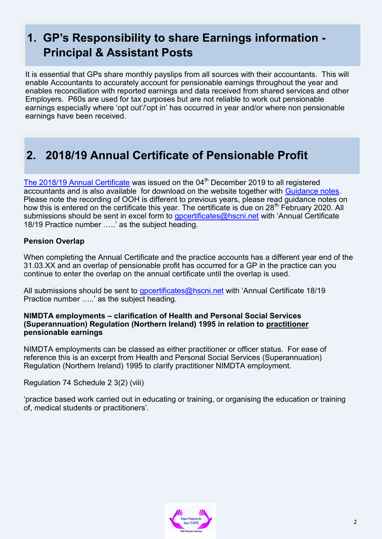## **1. GP's Responsibility to share Earnings information - Principal & Assistant Posts**

It is essential that GPs share monthly payslips from all sources with their accountants. This will enable Accountants to accurately account for pensionable earnings throughout the year and enables reconciliation with reported earnings and data received from shared services and other Employers. P60s are used for tax purposes but are not reliable to work out pensionable earnings especially where 'opt out'/'opt in' has occurred in year and/or where non pensionable earnings have been received.

### **2. 2018/19 Annual Certificate of Pensionable Profit**

[The 2018/19 Annual Certificate](http://www.hscpensions.hscni.net/download/Practitioners/Practioner%20FAQs/Annual-Certificate-of-Pensionable-Profit-18-19.xls) was issued on the  $04<sup>th</sup>$  December 2019 to all registered accountants and is also available for download on the website together with [Guidance notes.](http://www.hscpensions.hscni.net/download/Practitioners/Practioner%20FAQs/Annual_Certificate_Completion_Guidance_Notes_2018-19.docx) Please note the recording of OOH is different to previous years, please read guidance notes on how this is entered on the certificate this year. The certificate is due on 28<sup>th</sup> February 2020. All submissions should be sent in excel form to *[gpcertificates@hscni.net](mailto:gpcertificates@hscni.net)* with 'Annual Certificate 18/19 Practice number …..' as the subject heading.

#### **Pension Overlap**

When completing the Annual Certificate and the practice accounts has a different year end of the 31.03.XX and an overlap of pensionable profit has occurred for a GP in the practice can you continue to enter the overlap on the annual certificate until the overlap is used.

All submissions should be sent to apcertificates@hscni.net with 'Annual Certificate 18/19 Practice number …..' as the subject heading.

#### **NIMDTA employments – clarification of Health and Personal Social Services (Superannuation) Regulation (Northern Ireland) 1995 in relation to practitioner pensionable earnings**

NIMDTA employments can be classed as either practitioner or officer status. For ease of reference this is an excerpt from Health and Personal Social Services (Superannuation) Regulation (Northern Ireland) 1995 to clarify practitioner NIMDTA employment.

Regulation 74 Schedule 2 3(2) (viii)

'practice based work carried out in educating or training, or organising the education or training of, medical students or practitioners'.

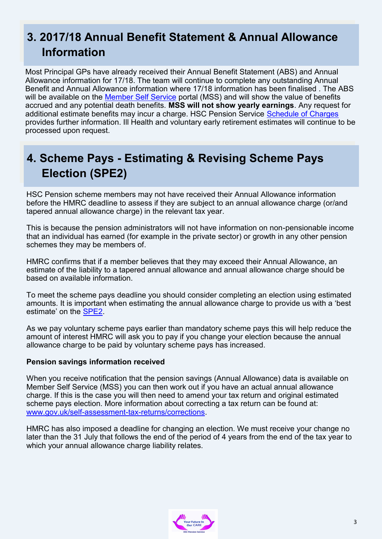## **3. 2017/18 Annual Benefit Statement & Annual Allowance Information**

Most Principal GPs have already received their Annual Benefit Statement (ABS) and Annual Allowance information for 17/18. The team will continue to complete any outstanding Annual Benefit and Annual Allowance information where 17/18 information has been finalised . The ABS will be available on the [Member Self Service](https://mypension.hscni.net/) portal (MSS) and will show the value of benefits accrued and any potential death benefits. **MSS will not show yearly earnings**. Any request for additional estimate benefits may incur a charge. HSC Pension Service [Schedule of Charges](http://www.hscpensions.hscni.net/download/Members/member_factsheets/Member-Schedule-of-Charges.pdf)  provides further information. Ill Health and voluntary early retirement estimates will continue to be processed upon request.

## **4. Scheme Pays - Estimating & Revising Scheme Pays Election (SPE2)**

HSC Pension scheme members may not have received their Annual Allowance information before the HMRC deadline to assess if they are subject to an annual allowance charge (or/and tapered annual allowance charge) in the relevant tax year.

This is because the pension administrators will not have information on non-pensionable income that an individual has earned (for example in the private sector) or growth in any other pension schemes they may be members of.

HMRC confirms that if a member believes that they may exceed their Annual Allowance, an estimate of the liability to a tapered annual allowance and annual allowance charge should be based on available information.

To meet the scheme pays deadline you should consider completing an election using estimated amounts. It is important when estimating the annual allowance charge to provide us with a 'best estimate' on the [SPE2.](http://www.hscpensions.hscni.net/download/Scheme%20Forms/member_forms/SPE2..pdf)

As we pay voluntary scheme pays earlier than mandatory scheme pays this will help reduce the amount of interest HMRC will ask you to pay if you change your election because the annual allowance charge to be paid by voluntary scheme pays has increased.

#### **Pension savings information received**

When you receive notification that the pension savings (Annual Allowance) data is available on Member Self Service (MSS) you can then work out if you have an actual annual allowance charge. If this is the case you will then need to amend your tax return and original estimated scheme pays election. More information about correcting a tax return can be found at: www.gov.uk/self-assessment-tax-[returns/corrections.](http://www.gov.uk/self-assessment-tax-returns/corrections) 

HMRC has also imposed a deadline for changing an election. We must receive your change no later than the 31 July that follows the end of the period of 4 years from the end of the tax year to which your annual allowance charge liability relates.

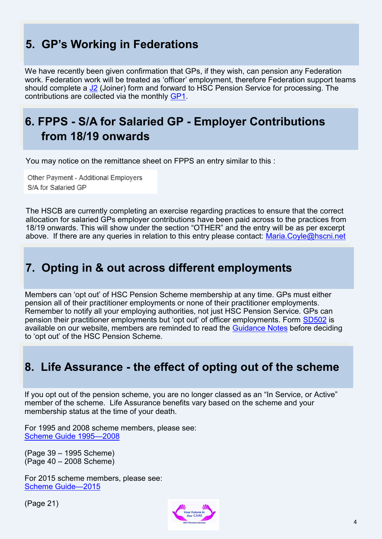## **5. GP's Working in Federations**

We have recently been given confirmation that GPs, if they wish, can pension any Federation work. Federation work will be treated as 'officer' employment, therefore Federation support teams should complete a [J2](http://www.hscpensions.hscni.net/download/Scheme%20Forms/gp_practice_forms/J2-Form.pdf) (Joiner) form and forward to HSC Pension Service for processing. The contributions are collected via the monthly [GP1.](http://www.hscpensions.hscni.net/download/Scheme%20Forms/gp_practice_forms/Copy-of-GP1-Monthly-April-2019.xlsx)

## **6. FPPS - S/A for Salaried GP - Employer Contributions from 18/19 onwards**

You may notice on the remittance sheet on FPPS an entry similar to this :

Other Payment - Additional Employers S/A for Salaried GP

The HSCB are currently completing an exercise regarding practices to ensure that the correct allocation for salaried GPs employer contributions have been paid across to the practices from 18/19 onwards. This will show under the section "OTHER" and the entry will be as per excerpt above. If there are any queries in relation to this entry please contact: [Maria.Coyle@hscni.net](mailto:Maria.Coyle@hscni.net)

### **7. Opting in & out across different employments**

Members can 'opt out' of HSC Pension Scheme membership at any time. GPs must either pension all of their practitioner employments or none of their practitioner employments. Remember to notify all your employing authorities, not just HSC Pension Service. GPs can pension their practitioner employments but 'opt out' of officer employments. Form [SD502](http://www.hscpensions.hscni.net/download/Scheme%20Forms/member_forms/SD502-6.pdf) is available on our website, members are reminded to read the [Guidance Notes](http://www.hscpensions.hscni.net/download/Scheme%20Forms/Guidance-Notes-SD502.pdf) before deciding to 'opt out' of the HSC Pension Scheme.

### **8. Life Assurance - the effect of opting out of the scheme**

If you opt out of the pension scheme, you are no longer classed as an "In Service, or Active" member of the scheme. Life Assurance benefits vary based on the scheme and your membership status at the time of your death.

For 1995 and 2008 scheme members, please see: [Scheme Guide 1995—2008](http://www.hscpensions.hscni.net/download/Scheme%20Guide/Scheme-Guide-1995-2008-2-8.pdf)

(Page 39 – 1995 Scheme) (Page 40 – 2008 Scheme)

For 2015 scheme members, please see: [Scheme Guide—2015](http://www.hscpensions.hscni.net/download/Scheme%20Guide/2015-Scheme-Guide-updated-March-2019.pdf)

(Page 21)

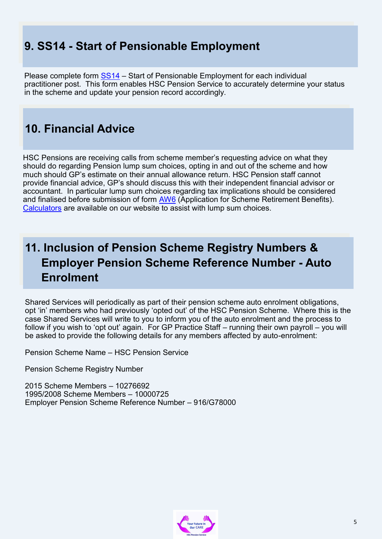## **9. SS14 - Start of Pensionable Employment**

Please complete form [SS14](http://www.hscpensions.hscni.net/download/Scheme%20Forms/SS14-Oct-18-1.pdf) – Start of Pensionable Employment for each individual practitioner post. This form enables HSC Pension Service to accurately determine your status in the scheme and update your pension record accordingly.

## **10. Financial Advice**

HSC Pensions are receiving calls from scheme member's requesting advice on what they should do regarding Pension lump sum choices, opting in and out of the scheme and how much should GP's estimate on their annual allowance return. HSC Pension staff cannot provide financial advice, GP's should discuss this with their independent financial advisor or accountant. In particular lump sum choices regarding tax implications should be considered and finalised before submission of form [AW6](http://www.hscpensions.hscni.net/download/Scheme%20Forms/member_forms/AW6-FINAL.pdf) (Application for Scheme Retirement Benefits). [Calculators](http://www.hscpensions.hscni.net/quick-links/calculators/) are available on our website to assist with lump sum choices.

## **11. Inclusion of Pension Scheme Registry Numbers & Employer Pension Scheme Reference Number - Auto Enrolment**

Shared Services will periodically as part of their pension scheme auto enrolment obligations, opt 'in' members who had previously 'opted out' of the HSC Pension Scheme. Where this is the case Shared Services will write to you to inform you of the auto enrolment and the process to follow if you wish to 'opt out' again. For GP Practice Staff – running their own payroll – you will be asked to provide the following details for any members affected by auto-enrolment:

Pension Scheme Name – HSC Pension Service

Pension Scheme Registry Number

2015 Scheme Members – 10276692 1995/2008 Scheme Members – 10000725 Employer Pension Scheme Reference Number – 916/G78000

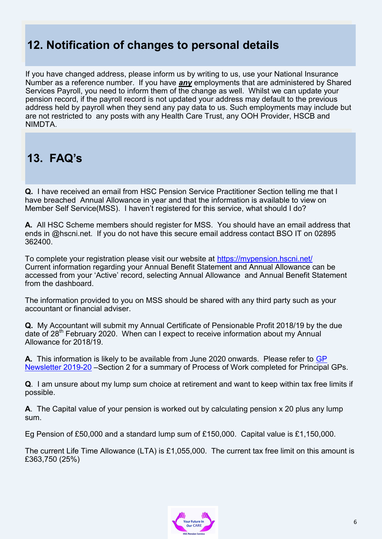## **12. Notification of changes to personal details**

If you have changed address, please inform us by writing to us, use your National Insurance Number as a reference number. If you have *any* employments that are administered by Shared Services Payroll, you need to inform them of the change as well. Whilst we can update your pension record, if the payroll record is not updated your address may default to the previous address held by payroll when they send any pay data to us. Such employments may include but are not restricted to any posts with any Health Care Trust, any OOH Provider, HSCB and NIMDTA.

## **13. FAQ's**

**Q.** I have received an email from HSC Pension Service Practitioner Section telling me that I have breached Annual Allowance in year and that the information is available to view on Member Self Service(MSS). I haven't registered for this service, what should I do?

**A.** All HSC Scheme members should register for MSS. You should have an email address that ends in @hscni.net. If you do not have this secure email address contact BSO IT on 02895 362400.

To complete your registration please visit our website at <https://mypension.hscni.net/> Current information regarding your Annual Benefit Statement and Annual Allowance can be accessed from your 'Active' record, selecting Annual Allowance and Annual Benefit Statement from the dashboard.

The information provided to you on MSS should be shared with any third party such as your accountant or financial adviser.

**Q.** My Accountant will submit my Annual Certificate of Pensionable Profit 2018/19 by the due date of 28<sup>th</sup> February 2020. When can I expect to receive information about my Annual Allowance for 2018/19.

**A.** This information is likely to be available from June 2020 onwards. Please refer to [GP](http://www.hscpensions.hscni.net/download/Circulars/GP-Newsletter-Q2-2019-20-V1.pdf)  [Newsletter 2019](http://www.hscpensions.hscni.net/download/Circulars/GP-Newsletter-Q2-2019-20-V1.pdf)-20 –Section 2 for a summary of Process of Work completed for Principal GPs.

**Q**. I am unsure about my lump sum choice at retirement and want to keep within tax free limits if possible.

**A**. The Capital value of your pension is worked out by calculating pension x 20 plus any lump sum.

Eg Pension of £50,000 and a standard lump sum of £150,000. Capital value is £1,150,000.

The current Life Time Allowance (LTA) is £1,055,000. The current tax free limit on this amount is £363,750 (25%)

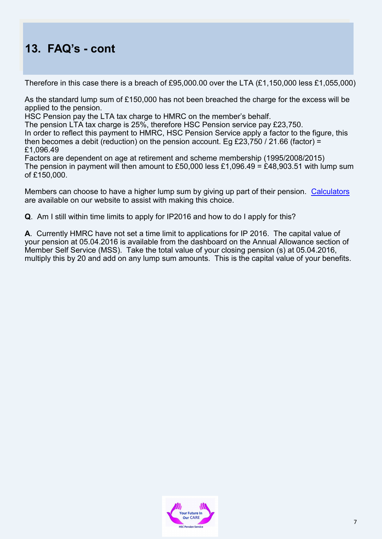## **13. FAQ's - cont**

Therefore in this case there is a breach of £95,000.00 over the LTA (£1,150,000 less £1,055,000)

As the standard lump sum of £150,000 has not been breached the charge for the excess will be applied to the pension.

HSC Pension pay the LTA tax charge to HMRC on the member's behalf.

The pension LTA tax charge is 25%, therefore HSC Pension service pay £23,750.

In order to reflect this payment to HMRC, HSC Pension Service apply a factor to the figure, this then becomes a debit (reduction) on the pension account. Eg £23,750 / 21.66 (factor) = £1,096.49

Factors are dependent on age at retirement and scheme membership (1995/2008/2015) The pension in payment will then amount to £50,000 less £1,096.49 = £48,903.51 with lump sum of £150,000.

Members can choose to have a higher lump sum by giving up part of their pension. [Calculators](http://www.hscpensions.hscni.net/quick-links/calculators/) are available on our website to assist with making this choice.

**Q**. Am I still within time limits to apply for IP2016 and how to do I apply for this?

**A**. Currently HMRC have not set a time limit to applications for IP 2016. The capital value of your pension at 05.04.2016 is available from the dashboard on the Annual Allowance section of Member Self Service (MSS). Take the total value of your closing pension (s) at 05.04.2016, multiply this by 20 and add on any lump sum amounts. This is the capital value of your benefits.